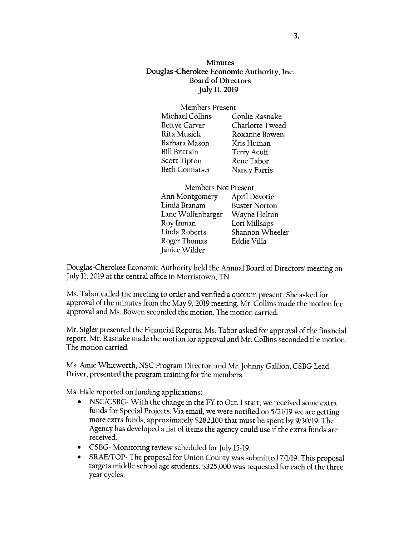**Minutes** Douglas-Cherokee Economic Authority, Inc. Board of Directors July ll,2019

| Members Present |                    |
|-----------------|--------------------|
| Michael Collins | Conlie Rasnake     |
| Bettye Carver   | Charlotte Tweed    |
| Rita Musick     | Roxanne Bowen      |
| Barbara Mason   | Kris Human         |
| Bill Brittain   | <b>Terry Acuff</b> |
| Scott Tipton    | Rene Tabor         |
| Beth Connatser  | Nancy Farris       |
|                 |                    |

| <b>Members Not Present</b> |                      |
|----------------------------|----------------------|
| Ann Montgomery             | April Devotie        |
| Linda Branam               | <b>Buster Norton</b> |
| Lane Wolfenbarger          | Wayne Helton         |
| Roy Inman                  | Lori Millsaps        |
| Linda Roberts              | Shannon Wheeler      |
| Roger Thomas               | Eddie Villa          |
| Janice Wilder              |                      |
|                            |                      |

Douglas-Cherokee Economic Authority held the Annual Board of Directors' meeting on July ll, 2019 at the central office in Morrisrown, TN.

Ms. Tabor called the meeting to order and verified a quorum present. She asked for approval of the minutes from the May 9, 2019 meeting. Mr. Collins made the morion for approval and Ms. Bowen seconded the motion. The motion carried.

Mr. Sigler presented the Financial Reports. Ms. Tabor asked for approval of the financial report. Mr. Rasnake made the motion for approval and Mr. Collins seconded the motion. The motion carried.

Ms. Amie Whitworth, NSC Program Director, and Mr.Johnny Gallion, CSBG Lead Driver, presented the program training for the members.

Ms. Hale reported on funding applications:

- NSC/CSBG- With the change in the FY to Oct. 1 start, we received some extra funds for Special Projects. Via email, we were notified on 5/21/19 we are getting more extra funds, approximately \$282,100 that musr be spenr by 9/30/19. The Agency has developed a list of items the agency could use if the extra funds are received.
- CSBG- Monitoring review scheduled for July 15-19.
- SRAE/TOP- The proposal for Union County was submitted 7/1/19. This proposal targets middle school age students. \$325,000 was requested for each of the three vear cvcles.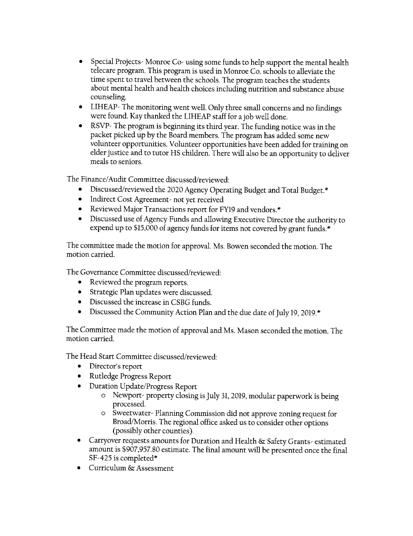- Special Projects- Monroe Co- using some funds to help support the mental health  $\bullet$ telecare program. This program is used in Monroe co. schools to alleviate the time spent to travel between the schools. The program teaches the students about mental health and health choices including nutrition and substance abuse counseling.
- LIHEAP- The monitoring went well. Only three small concerns and no findings  $\bullet$ were found. Kay thanked the LIHEAP sraff for a job well done.
- RSVP- The program is beginning its third year. The funding norice was in rhe  $\bullet$ packet picked up by the Board members. The program has added some new volunteer opporrunities. Volunteer opportunities have been added for training on elder justice and to tutor HS children, There will also be an opportunity to deliver meals to seniors.

The Finance/Audit Committee discussed/reviewed:

- Discussed/reviewed the 2020 Agency Operating Budget and Total Budget.\*
- Indirect Cost Agreement- not yet received
- Reviewed Major Transactions report for FY19 and vendors.\*
- Discussed use of Agency Funds and allowing Executive Director the authority to expend up to \$15,000 of agency funds for items not covered by grant funds.\*

The committee made the motion for approval. Ms. Bowen seconded the motion. The motion carried.

The Governance Committee discussed/reviewed:

- o Reviewed the program reports.
- o Strategic Plan updates were discussed.
- o Discussed the increase in CSBG funds.
- Discussed the Community Action Plan and the due date of July 19, 2019.\*

The Committee made the motion of approval and Ms. Mason seconded the motion. The motion carried.

The Head Start Committee discussed,/reviewed:

- Director's report
- o Rutledge Progress Report
- Duration Update/Progress Report
	- o Newport- property closing isJuly 31, 2019, modular paperwork is being processed.
	- o Sweetwater- Planning Commission did not approve zoning request for Broad/Morris. The regional office asked us to consider other options (possibly other counties).
- Carryover requests amounts for Duration and Health & Safety Grants- estimated amount is \$907,957.80 estimate. The final amount will be presented once the final SF-425 is completed\*
- Curriculum & Assessment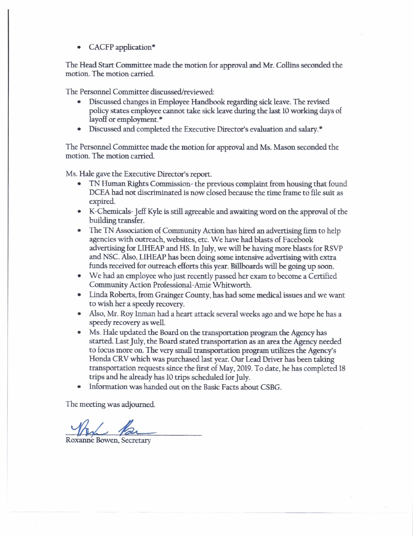CACFP application\*

The Head Start Committee made the motion for approval and Mr. Collins seconded the motion. The motion carried.

The Personnel Committee discussed/reviewed:

- Discussed changes in Employee Handbook regarding sick leave. The revised policy states employee cannot take sick leave during the last I0 working days of layoff or employment.\*
- Discussed and completed the Executive Director's evaluation and salary.\*

The Personnel Committee made the motion for approval and Ms. Mason seconded the motion. The motion carried.

Ms. Hale gave the Executive Director's report.

- TN Human Rights Commission- the previous complaint from housing that found DCEA had not discriminated is now closed because the time frame to file suit as expired.
- o K-Chemicals- Jetr Kyte is still agreeable and awaiting word on the approval of the building transfer.
- The TN Association of Community Action has hired an advertising firm to help agencies with ourreach, websites, etc. We have had blasts of Facebook advertising for LIHEAP and HS. In July, we will be having more blasts for RSVP and NSC. Also, LIHEAP has been doing some intensive advertising with extra funds received for outreach eflorts this year. Billboards will be going up soon.
- We had an employee who just recently passed her exam to become a Certified Communiry Action Professional-Amie Whirworth.
- Linda Roberts, from Grainger County, has had some medical issues and we want to wish her a speedy recovery.
- . Also, Mr. Roy Inman had a heart attack several weeks ago and we hope he has <sup>a</sup> speedy recovery as wdl.
- . Ms. Hde updated the Board on the transportation program the Agency has started. Last July, the Board stated transportation as an area the Agency needed to focus more on. The very small transportation program utilizes the Agency's Honda CRV which was purchased last year. Our Lead Driver has been taking transportation requests since the first of May,2019. To date, he has completed <sup>18</sup> trips and he already has 10 trips scheduled for July.
- . Information was handed our on the Basic Facts about CSBG.

The meeting was adjourned.

Roxanne Bowen, Secretary